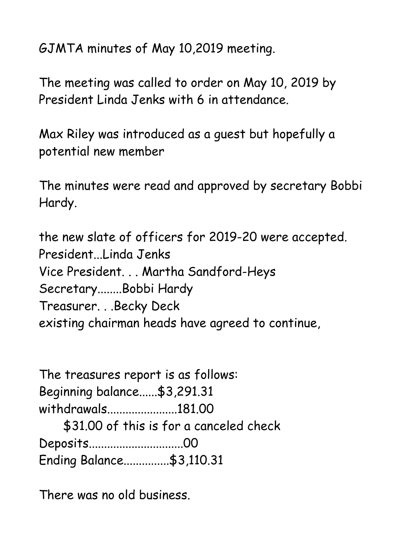GJMTA minutes of May 10,2019 meeting.

The meeting was called to order on May 10, 2019 by President Linda Jenks with 6 in attendance.

Max Riley was introduced as a guest but hopefully a potential new member

The minutes were read and approved by secretary Bobbi Hardy.

the new slate of officers for 2019-20 were accepted. President...Linda Jenks Vice President. . . Martha Sandford-Heys Secretary........Bobbi Hardy Treasurer. . .Becky Deck existing chairman heads have agreed to continue,

| The treasures report is as follows: |                                         |
|-------------------------------------|-----------------------------------------|
| Beginning balance \$3,291.31        |                                         |
| withdrawals181.00                   |                                         |
|                                     | \$31.00 of this is for a canceled check |
| Deposits00                          |                                         |
| Ending Balance\$3,110.31            |                                         |

There was no old business.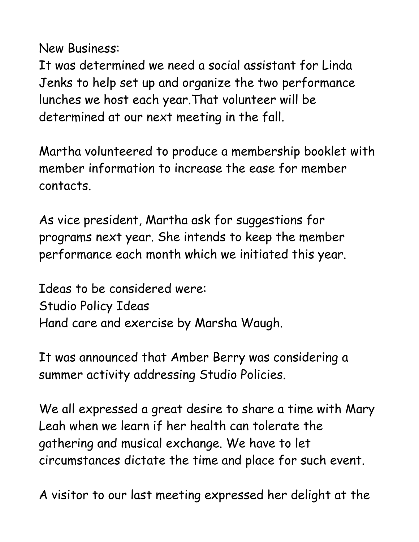New Business:

It was determined we need a social assistant for Linda Jenks to help set up and organize the two performance lunches we host each year.That volunteer will be determined at our next meeting in the fall.

Martha volunteered to produce a membership booklet with member information to increase the ease for member contacts.

As vice president, Martha ask for suggestions for programs next year. She intends to keep the member performance each month which we initiated this year.

Ideas to be considered were: Studio Policy Ideas Hand care and exercise by Marsha Waugh.

It was announced that Amber Berry was considering a summer activity addressing Studio Policies.

We all expressed a great desire to share a time with Mary Leah when we learn if her health can tolerate the gathering and musical exchange. We have to let circumstances dictate the time and place for such event.

A visitor to our last meeting expressed her delight at the